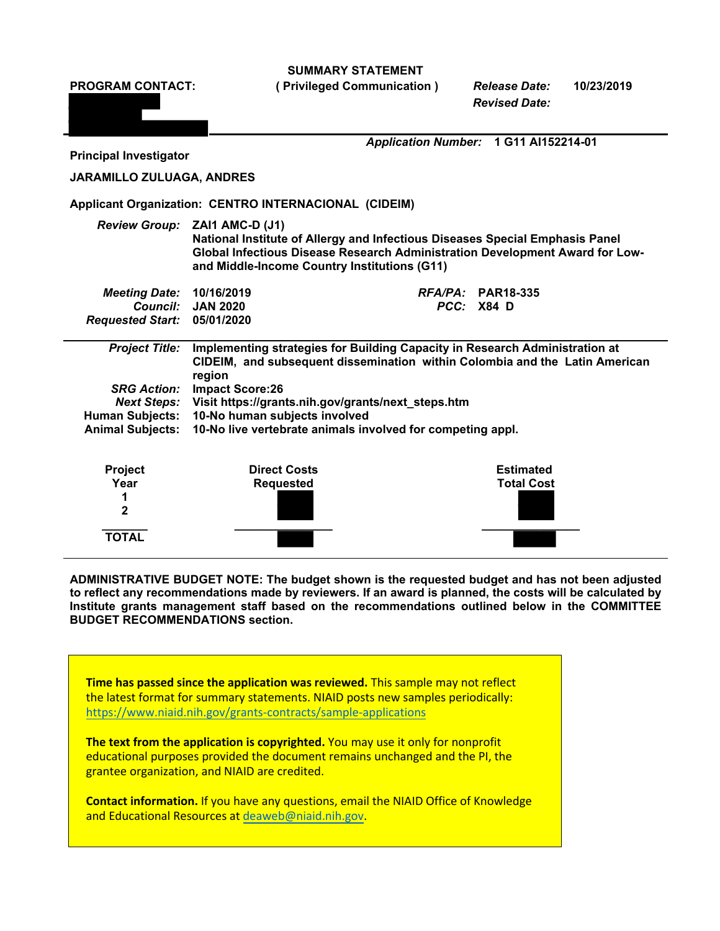**SUMMARY STATEMENT** 

**PROGRAM CONTACT: ( Privileged Communication )** *Release Date:* **10/23/2019**  *Revised Date: Application Number:* **1 G11 AI152214-01 Principal Investigator JARAMILLO ZULUAGA, ANDRES Applicant Organization: CENTRO INTERNACIONAL (CIDEIM)**  *Review Group:* **ZAI1 AMC-D (J1) National Institute of Allergy and Infectious Diseases Special Emphasis Panel Global Infectious Disease Research Administration Development Award for Lowand Middle-Income Country Institutions (G11)**  *Meeting Date:* **10/16/2019** *RFA/PA:* **PAR18-335**  *Council:* **JAN 2020** *PCC:* **X84 D**  *Requested Start:* **05/01/2020**  *Project Title:* **Implementing strategies for Building Capacity in Research Administration at CIDEIM, and subsequent dissemination within Colombia and the Latin American region**  *SRG Action:* **Impact Score:26**  *Next Steps:* **Visit [https://grants.nih.gov/grants/next\\_steps.htm](https://grants.nih.gov/grants/next_steps.htm) Human Subjects: 10-No human subjects involved Animal Subjects: 10-No live vertebrate animals involved for competing appl. Project Costs Direct Costs Accord Project Costs Accord Project Accord Project Accord Project Accord Project Accord Project Accord Project Accord Project Accord Project Accord Project Accord Project Accord Project Accord P Year Requested Total Cost 1 2 \_\_\_\_\_\_\_ \_\_\_\_\_\_\_\_\_\_\_\_\_\_\_ \_\_\_\_\_\_\_\_\_\_\_\_\_\_\_ TOTAL** 

**ADMINISTRATIVE BUDGET NOTE: The budget shown is the requested budget and has not been adjusted to reflect any recommendations made by reviewers. If an award is planned, the costs will be calculated by Institute grants management staff based on the recommendations outlined below in the COMMITTEE BUDGET RECOMMENDATIONS section.** 

 **Time has passed since the application was reviewed.** This sample may not reflect the latest format for summary statements. NIAID posts new samples periodically: <https://www.niaid.nih.gov/grants-contracts/sample-applications>

**The text from the application is copyrighted.** You may use it only for nonprofit educational purposes provided the document remains unchanged and the PI, the grantee organization, and NIAID are credited.

 **Contact information.** If you have any questions, email the NIAID Office of Knowledge and Educational Resources at [deaweb@niaid.nih.gov](mailto:deaweb@niaid.nih.gov).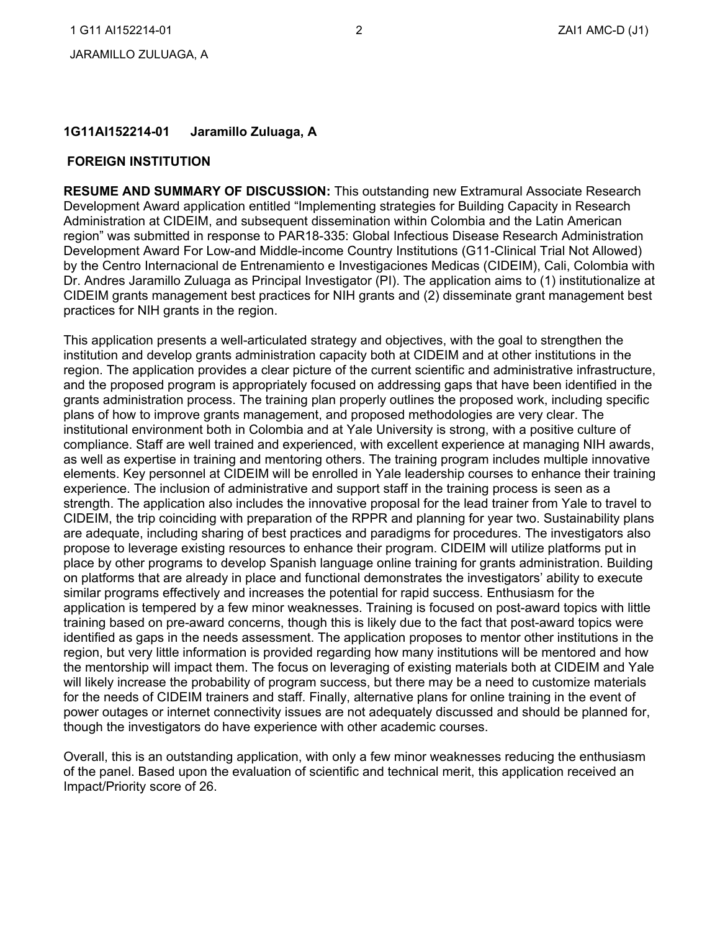## **1G11AI152214-01 Jaramillo Zuluaga, A**

#### **FOREIGN INSTITUTION**

 Development Award application entitled "Implementing strategies for Building Capacity in Research Development Award For Low-and Middle-income Country Institutions (G11-Clinical Trial Not Allowed) practices for NIH grants in the region. **RESUME AND SUMMARY OF DISCUSSION:** This outstanding new Extramural Associate Research Administration at CIDEIM, and subsequent dissemination within Colombia and the Latin American region" was submitted in response to PAR18-335: Global Infectious Disease Research Administration by the Centro Internacional de Entrenamiento e Investigaciones Medicas (CIDEIM), Cali, Colombia with Dr. Andres Jaramillo Zuluaga as Principal Investigator (PI). The application aims to (1) institutionalize at CIDEIM grants management best practices for NIH grants and (2) disseminate grant management best

 institution and develop grants administration capacity both at CIDEIM and at other institutions in the grants administration process. The training plan properly outlines the proposed work, including specific plans of how to improve grants management, and proposed methodologies are very clear. The institutional environment both in Colombia and at Yale University is strong, with a positive culture of compliance. Staff are well trained and experienced, with excellent experience at managing NIH awards, as well as expertise in training and mentoring others. The training program includes multiple innovative strength. The application also includes the innovative proposal for the lead trainer from Yale to travel to CIDEIM, the trip coinciding with preparation of the RPPR and planning for year two. Sustainability plans similar programs effectively and increases the potential for rapid success. Enthusiasm for the application is tempered by a few minor weaknesses. Training is focused on post-award topics with little identified as gaps in the needs assessment. The application proposes to mentor other institutions in the power outages or internet connectivity issues are not adequately discussed and should be planned for, This application presents a well-articulated strategy and objectives, with the goal to strengthen the region. The application provides a clear picture of the current scientific and administrative infrastructure, and the proposed program is appropriately focused on addressing gaps that have been identified in the elements. Key personnel at CIDEIM will be enrolled in Yale leadership courses to enhance their training experience. The inclusion of administrative and support staff in the training process is seen as a are adequate, including sharing of best practices and paradigms for procedures. The investigators also propose to leverage existing resources to enhance their program. CIDEIM will utilize platforms put in place by other programs to develop Spanish language online training for grants administration. Building on platforms that are already in place and functional demonstrates the investigators' ability to execute training based on pre-award concerns, though this is likely due to the fact that post-award topics were region, but very little information is provided regarding how many institutions will be mentored and how the mentorship will impact them. The focus on leveraging of existing materials both at CIDEIM and Yale will likely increase the probability of program success, but there may be a need to customize materials for the needs of CIDEIM trainers and staff. Finally, alternative plans for online training in the event of though the investigators do have experience with other academic courses.

 Overall, this is an outstanding application, with only a few minor weaknesses reducing the enthusiasm of the panel. Based upon the evaluation of scientific and technical merit, this application received an Impact/Priority score of 26.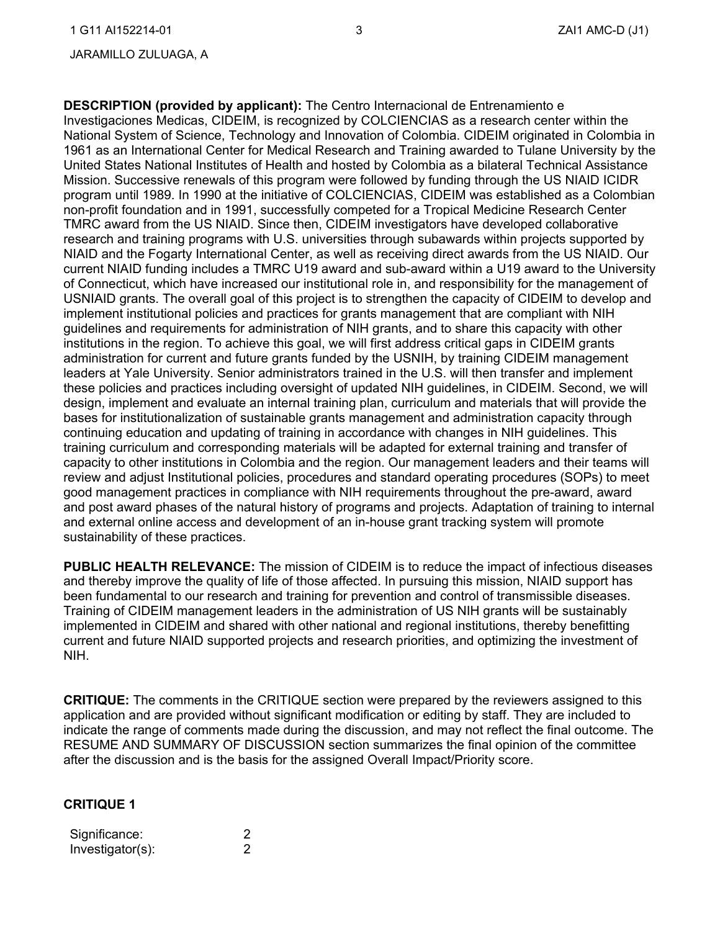#### JARAMILLO ZULUAGA, A

 **DESCRIPTION (provided by applicant):** The Centro Internacional de Entrenamiento e research and training programs with U.S. universities through subawards within projects supported by current NIAID funding includes a TMRC U19 award and sub-award within a U19 award to the University USNIAID grants. The overall goal of this project is to strengthen the capacity of CIDEIM to develop and design, implement and evaluate an internal training plan, curriculum and materials that will provide the review and adjust Institutional policies, procedures and standard operating procedures (SOPs) to meet good management practices in compliance with NIH requirements throughout the pre-award, award and post award phases of the natural history of programs and projects. Adaptation of training to internal sustainability of these practices. Investigaciones Medicas, CIDEIM, is recognized by COLCIENCIAS as a research center within the National System of Science, Technology and Innovation of Colombia. CIDEIM originated in Colombia in 1961 as an International Center for Medical Research and Training awarded to Tulane University by the United States National Institutes of Health and hosted by Colombia as a bilateral Technical Assistance Mission. Successive renewals of this program were followed by funding through the US NIAID ICIDR program until 1989. In 1990 at the initiative of COLCIENCIAS, CIDEIM was established as a Colombian non-profit foundation and in 1991, successfully competed for a Tropical Medicine Research Center TMRC award from the US NIAID. Since then, CIDEIM investigators have developed collaborative NIAID and the Fogarty International Center, as well as receiving direct awards from the US NIAID. Our of Connecticut, which have increased our institutional role in, and responsibility for the management of implement institutional policies and practices for grants management that are compliant with NIH guidelines and requirements for administration of NIH grants, and to share this capacity with other institutions in the region. To achieve this goal, we will first address critical gaps in CIDEIM grants administration for current and future grants funded by the USNIH, by training CIDEIM management leaders at Yale University. Senior administrators trained in the U.S. will then transfer and implement these policies and practices including oversight of updated NIH guidelines, in CIDEIM. Second, we will bases for institutionalization of sustainable grants management and administration capacity through continuing education and updating of training in accordance with changes in NIH guidelines. This training curriculum and corresponding materials will be adapted for external training and transfer of capacity to other institutions in Colombia and the region. Our management leaders and their teams will and external online access and development of an in-house grant tracking system will promote

 **PUBLIC HEALTH RELEVANCE:** The mission of CIDEIM is to reduce the impact of infectious diseases been fundamental to our research and training for prevention and control of transmissible diseases. implemented in CIDEIM and shared with other national and regional institutions, thereby benefitting and thereby improve the quality of life of those affected. In pursuing this mission, NIAID support has Training of CIDEIM management leaders in the administration of US NIH grants will be sustainably current and future NIAID supported projects and research priorities, and optimizing the investment of NIH.

 **CRITIQUE:** The comments in the CRITIQUE section were prepared by the reviewers assigned to this application and are provided without significant modification or editing by staff. They are included to indicate the range of comments made during the discussion, and may not reflect the final outcome. The RESUME AND SUMMARY OF DISCUSSION section summarizes the final opinion of the committee after the discussion and is the basis for the assigned Overall Impact/Priority score.

## **CRITIQUE 1**

| Significance:    |  |
|------------------|--|
| Investigator(s): |  |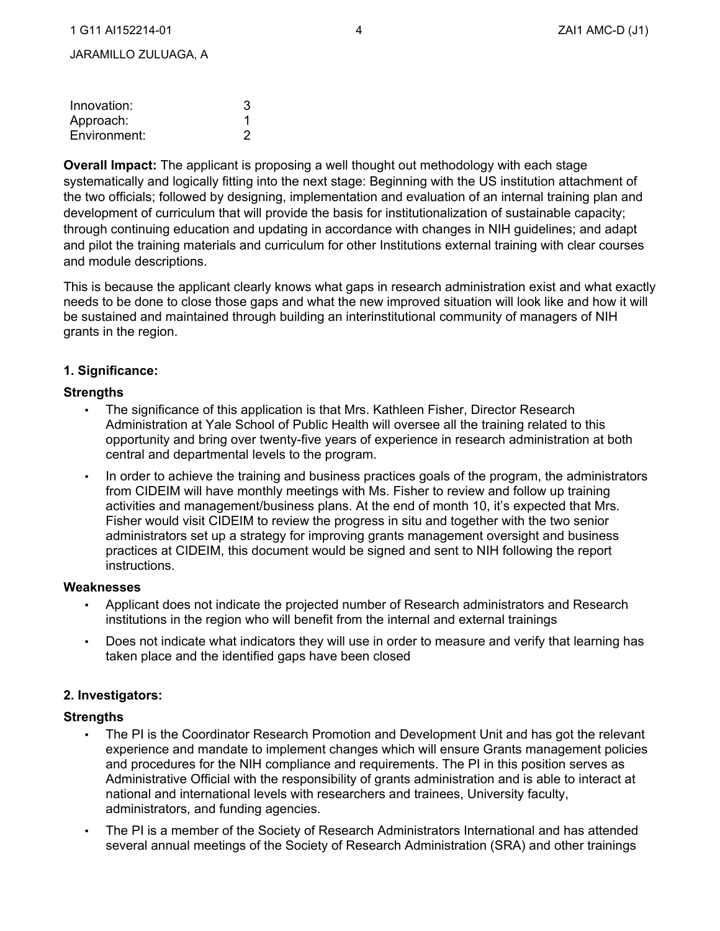| Innovation:  | 3 |
|--------------|---|
| Approach:    |   |
| Environment: |   |

 the two officials; followed by designing, implementation and evaluation of an internal training plan and development of curriculum that will provide the basis for institutionalization of sustainable capacity; **Overall Impact:** The applicant is proposing a well thought out methodology with each stage systematically and logically fitting into the next stage: Beginning with the US institution attachment of through continuing education and updating in accordance with changes in NIH guidelines; and adapt and pilot the training materials and curriculum for other Institutions external training with clear courses and module descriptions.

This is because the applicant clearly knows what gaps in research administration exist and what exactly needs to be done to close those gaps and what the new improved situation will look like and how it will be sustained and maintained through building an interinstitutional community of managers of NIH grants in the region.

## **1. Significance:**

## **Strengths**

- • The significance of this application is that Mrs. Kathleen Fisher, Director Research Administration at Yale School of Public Health will oversee all the training related to this opportunity and bring over twenty-five years of experience in research administration at both central and departmental levels to the program.
- from CIDEIM will have monthly meetings with Ms. Fisher to review and follow up training activities and management/business plans. At the end of month 10, it's expected that Mrs. Fisher would visit CIDEIM to review the progress in situ and together with the two senior practices at CIDEIM, this document would be signed and sent to NIH following the report In order to achieve the training and business practices goals of the program, the administrators administrators set up a strategy for improving grants management oversight and business instructions.

#### **Weaknesses**

- Applicant does not indicate the projected number of Research administrators and Research institutions in the region who will benefit from the internal and external trainings
- Does not indicate what indicators they will use in order to measure and verify that learning has taken place and the identified gaps have been closed

## **2. Investigators:**

- national and international levels with researchers and trainees, University faculty, • The PI is the Coordinator Research Promotion and Development Unit and has got the relevant experience and mandate to implement changes which will ensure Grants management policies and procedures for the NIH compliance and requirements. The PI in this position serves as Administrative Official with the responsibility of grants administration and is able to interact at administrators, and funding agencies.
- • The PI is a member of the Society of Research Administrators International and has attended several annual meetings of the Society of Research Administration (SRA) and other trainings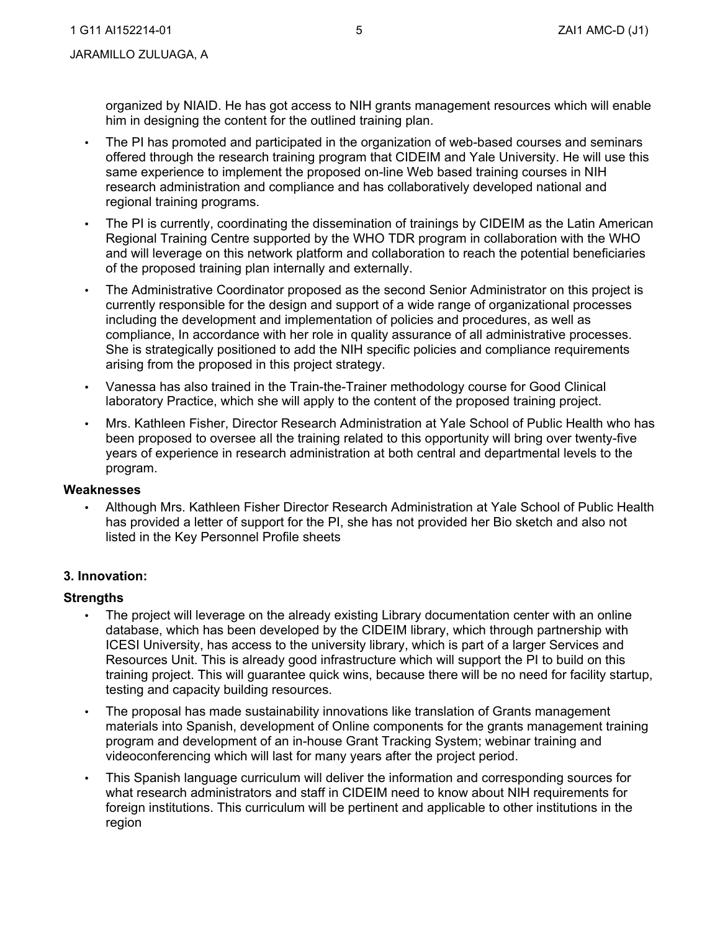organized by NIAID. He has got access to NIH grants management resources which will enable him in designing the content for the outlined training plan.

- offered through the research training program that CIDEIM and Yale University. He will use this same experience to implement the proposed on-line Web based training courses in NIH research administration and compliance and has collaboratively developed national and • The PI has promoted and participated in the organization of web-based courses and seminars regional training programs.
- Regional Training Centre supported by the WHO TDR program in collaboration with the WHO • The PI is currently, coordinating the dissemination of trainings by CIDEIM as the Latin American and will leverage on this network platform and collaboration to reach the potential beneficiaries of the proposed training plan internally and externally.
- • The Administrative Coordinator proposed as the second Senior Administrator on this project is currently responsible for the design and support of a wide range of organizational processes including the development and implementation of policies and procedures, as well as compliance, In accordance with her role in quality assurance of all administrative processes. She is strategically positioned to add the NIH specific policies and compliance requirements arising from the proposed in this project strategy.
- Vanessa has also trained in the Train-the-Trainer methodology course for Good Clinical laboratory Practice, which she will apply to the content of the proposed training project.
- • Mrs. Kathleen Fisher, Director Research Administration at Yale School of Public Health who has been proposed to oversee all the training related to this opportunity will bring over twenty-five years of experience in research administration at both central and departmental levels to the program.

## **Weaknesses**

 • Although Mrs. Kathleen Fisher Director Research Administration at Yale School of Public Health has provided a letter of support for the PI, she has not provided her Bio sketch and also not listed in the Key Personnel Profile sheets

## **3. Innovation:**

- • The project will leverage on the already existing Library documentation center with an online database, which has been developed by the CIDEIM library, which through partnership with ICESI University, has access to the university library, which is part of a larger Services and Resources Unit. This is already good infrastructure which will support the PI to build on this training project. This will guarantee quick wins, because there will be no need for facility startup, testing and capacity building resources.
- videoconferencing which will last for many years after the project period. The proposal has made sustainability innovations like translation of Grants management materials into Spanish, development of Online components for the grants management training program and development of an in-house Grant Tracking System; webinar training and
- • This Spanish language curriculum will deliver the information and corresponding sources for what research administrators and staff in CIDEIM need to know about NIH requirements for foreign institutions. This curriculum will be pertinent and applicable to other institutions in the region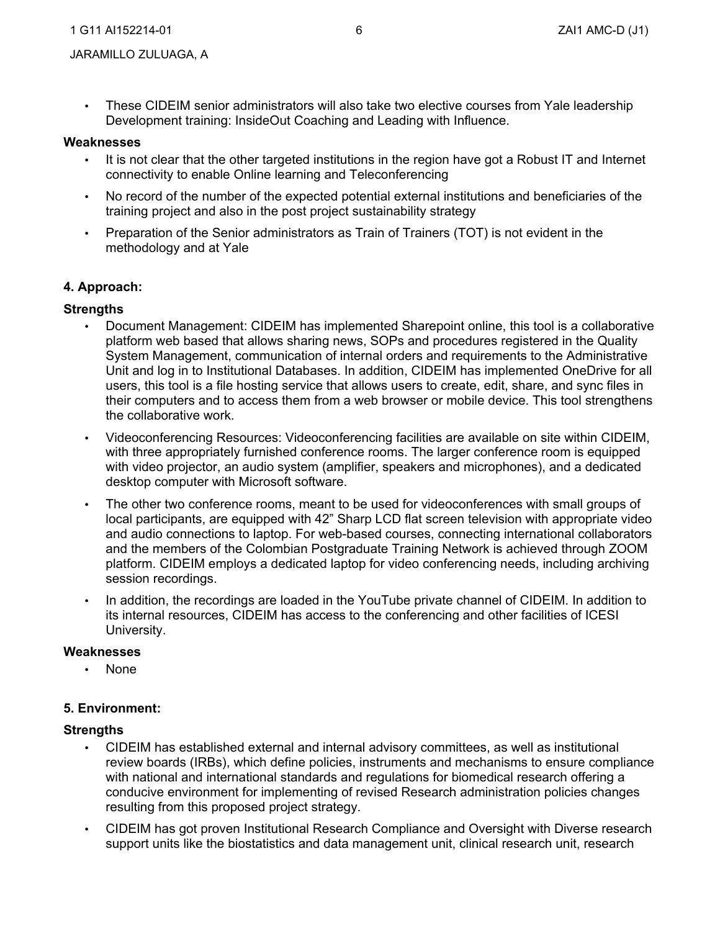• These CIDEIM senior administrators will also take two elective courses from Yale leadership Development training: InsideOut Coaching and Leading with Influence.

#### **Weaknesses**

- It is not clear that the other targeted institutions in the region have got a Robust IT and Internet connectivity to enable Online learning and Teleconferencing
- • No record of the number of the expected potential external institutions and beneficiaries of the training project and also in the post project sustainability strategy
- • Preparation of the Senior administrators as Train of Trainers (TOT) is not evident in the methodology and at Yale

#### **4. Approach:**

#### **Strengths**

- Unit and log in to Institutional Databases. In addition, CIDEIM has implemented OneDrive for all users, this tool is a file hosting service that allows users to create, edit, share, and sync files in • Document Management: CIDEIM has implemented Sharepoint online, this tool is a collaborative platform web based that allows sharing news, SOPs and procedures registered in the Quality System Management, communication of internal orders and requirements to the Administrative their computers and to access them from a web browser or mobile device. This tool strengthens the collaborative work.
- Videoconferencing Resources: Videoconferencing facilities are available on site within CIDEIM, with three appropriately furnished conference rooms. The larger conference room is equipped with video projector, an audio system (amplifier, speakers and microphones), and a dedicated desktop computer with Microsoft software.
- • The other two conference rooms, meant to be used for videoconferences with small groups of and audio connections to laptop. For web-based courses, connecting international collaborators and the members of the Colombian Postgraduate Training Network is achieved through ZOOM local participants, are equipped with 42" Sharp LCD flat screen television with appropriate video platform. CIDEIM employs a dedicated laptop for video conferencing needs, including archiving session recordings.
- In addition, the recordings are loaded in the YouTube private channel of CIDEIM. In addition to its internal resources, CIDEIM has access to the conferencing and other facilities of ICESI University.

#### **Weaknesses**

• None

#### **5. Environment:**

- CIDEIM has established external and internal advisory committees, as well as institutional review boards (IRBs), which define policies, instruments and mechanisms to ensure compliance with national and international standards and regulations for biomedical research offering a conducive environment for implementing of revised Research administration policies changes resulting from this proposed project strategy.
- • CIDEIM has got proven Institutional Research Compliance and Oversight with Diverse research support units like the biostatistics and data management unit, clinical research unit, research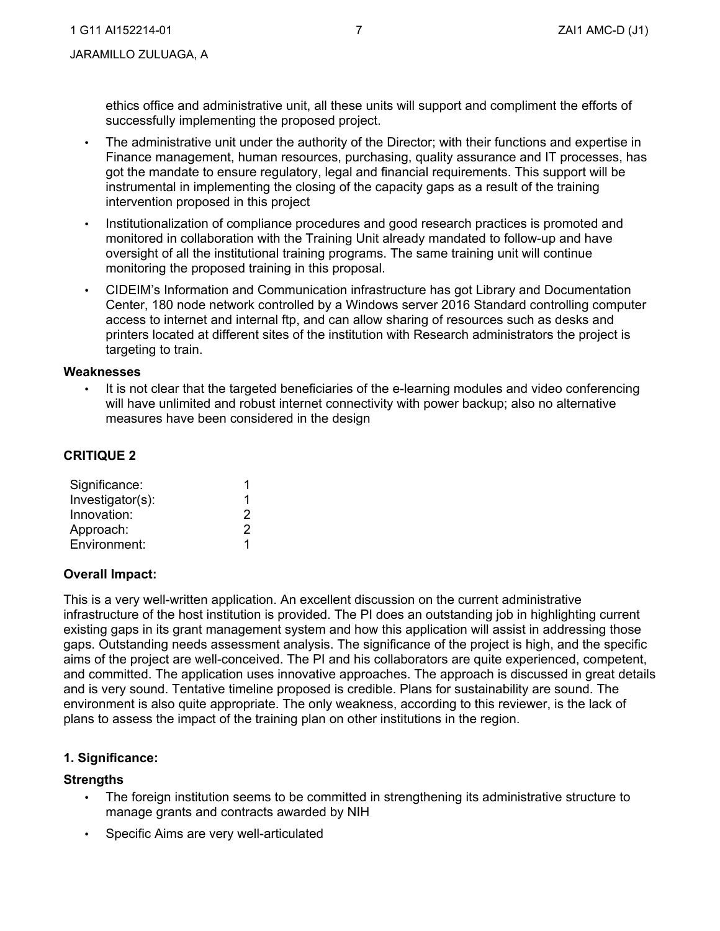ethics office and administrative unit, all these units will support and compliment the efforts of successfully implementing the proposed project.

- The administrative unit under the authority of the Director; with their functions and expertise in Finance management, human resources, purchasing, quality assurance and IT processes, has got the mandate to ensure regulatory, legal and financial requirements. This support will be instrumental in implementing the closing of the capacity gaps as a result of the training intervention proposed in this project
- • Institutionalization of compliance procedures and good research practices is promoted and oversight of all the institutional training programs. The same training unit will continue monitoring the proposed training in this proposal. monitored in collaboration with the Training Unit already mandated to follow-up and have
- Center, 180 node network controlled by a Windows server 2016 Standard controlling computer printers located at different sites of the institution with Research administrators the project is • CIDEIM's Information and Communication infrastructure has got Library and Documentation access to internet and internal ftp, and can allow sharing of resources such as desks and targeting to train.

## **Weaknesses**

 will have unlimited and robust internet connectivity with power backup; also no alternative It is not clear that the targeted beneficiaries of the e-learning modules and video conferencing measures have been considered in the design

## **CRITIQUE 2**

| Significance:    |   |
|------------------|---|
| Investigator(s): |   |
| Innovation:      | 2 |
| Approach:        | 2 |
| Environment:     |   |

## **Overall Impact:**

 existing gaps in its grant management system and how this application will assist in addressing those and committed. The application uses innovative approaches. The approach is discussed in great details and is very sound. Tentative timeline proposed is credible. Plans for sustainability are sound. The This is a very well-written application. An excellent discussion on the current administrative infrastructure of the host institution is provided. The PI does an outstanding job in highlighting current gaps. Outstanding needs assessment analysis. The significance of the project is high, and the specific aims of the project are well-conceived. The PI and his collaborators are quite experienced, competent, environment is also quite appropriate. The only weakness, according to this reviewer, is the lack of plans to assess the impact of the training plan on other institutions in the region.

## **1. Significance:**

- • The foreign institution seems to be committed in strengthening its administrative structure to manage grants and contracts awarded by NIH
- Specific Aims are very well-articulated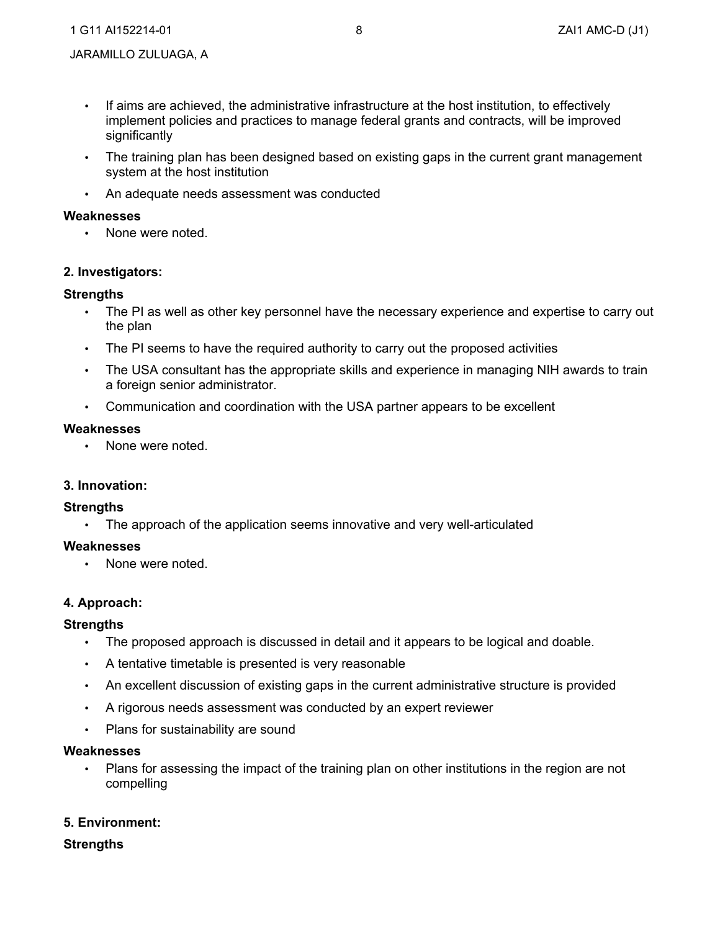- If aims are achieved, the administrative infrastructure at the host institution, to effectively implement policies and practices to manage federal grants and contracts, will be improved significantly
- • The training plan has been designed based on existing gaps in the current grant management system at the host institution
- An adequate needs assessment was conducted

## **Weaknesses**

• None were noted.

## **2. Investigators:**

## **Strengths**

- The PI as well as other key personnel have the necessary experience and expertise to carry out the plan
- The PI seems to have the required authority to carry out the proposed activities
- The USA consultant has the appropriate skills and experience in managing NIH awards to train a foreign senior administrator.
- Communication and coordination with the USA partner appears to be excellent

#### **Weaknesses**

None were noted.

# **3. Innovation:**

## **Strengths**

• The approach of the application seems innovative and very well-articulated

## **Weaknesses**

• None were noted.

## **4. Approach:**

#### **Strengths**

- The proposed approach is discussed in detail and it appears to be logical and doable.
- A tentative timetable is presented is very reasonable
- An excellent discussion of existing gaps in the current administrative structure is provided
- A rigorous needs assessment was conducted by an expert reviewer
- Plans for sustainability are sound

#### **Weaknesses**

 • Plans for assessing the impact of the training plan on other institutions in the region are not compelling

## **5. Environment:**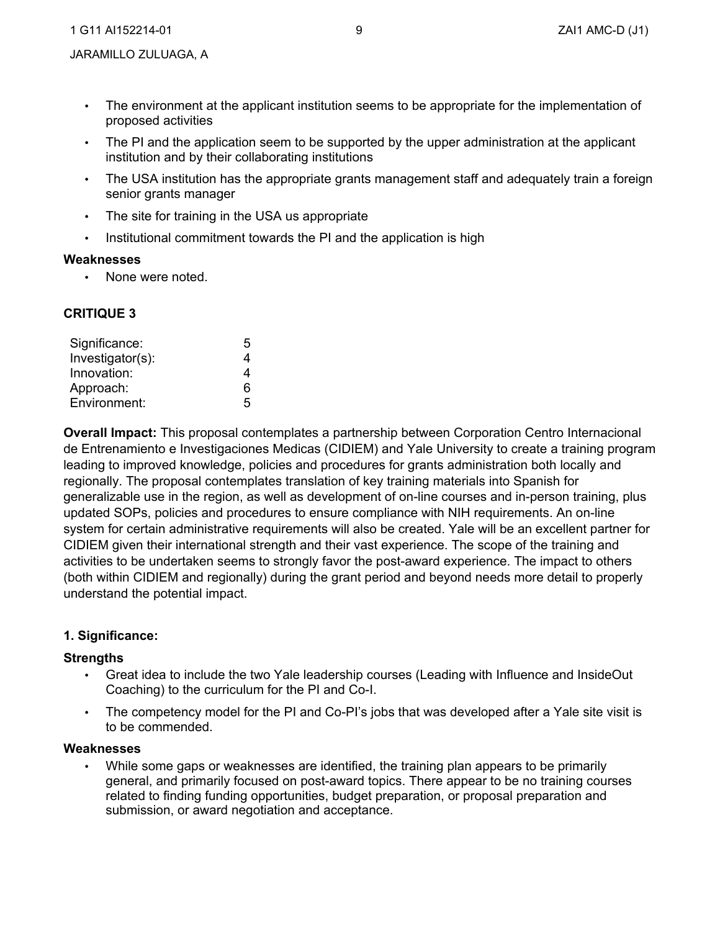- • The environment at the applicant institution seems to be appropriate for the implementation of proposed activities
- The PI and the application seem to be supported by the upper administration at the applicant institution and by their collaborating institutions
- The USA institution has the appropriate grants management staff and adequately train a foreign senior grants manager
- The site for training in the USA us appropriate
- Institutional commitment towards the PI and the application is high

# **Weaknesses**

• None were noted.

# **CRITIQUE 3**

| Significance:    | 5 |
|------------------|---|
| Investigator(s): | 4 |
| Innovation:      | 4 |
| Approach:        | 6 |
| Environment:     | 5 |

 **Overall Impact:** This proposal contemplates a partnership between Corporation Centro Internacional de Entrenamiento e Investigaciones Medicas (CIDIEM) and Yale University to create a training program updated SOPs, policies and procedures to ensure compliance with NIH requirements. An on-line system for certain administrative requirements will also be created. Yale will be an excellent partner for activities to be undertaken seems to strongly favor the post-award experience. The impact to others leading to improved knowledge, policies and procedures for grants administration both locally and regionally. The proposal contemplates translation of key training materials into Spanish for generalizable use in the region, as well as development of on-line courses and in-person training, plus CIDIEM given their international strength and their vast experience. The scope of the training and (both within CIDIEM and regionally) during the grant period and beyond needs more detail to properly understand the potential impact.

# **1. Significance:**

# **Strengths**

- • Great idea to include the two Yale leadership courses (Leading with Influence and InsideOut Coaching) to the curriculum for the PI and Co-I.
- • The competency model for the PI and Co-PI's jobs that was developed after a Yale site visit is to be commended.

# **Weaknesses**

 • While some gaps or weaknesses are identified, the training plan appears to be primarily general, and primarily focused on post-award topics. There appear to be no training courses related to finding funding opportunities, budget preparation, or proposal preparation and submission, or award negotiation and acceptance.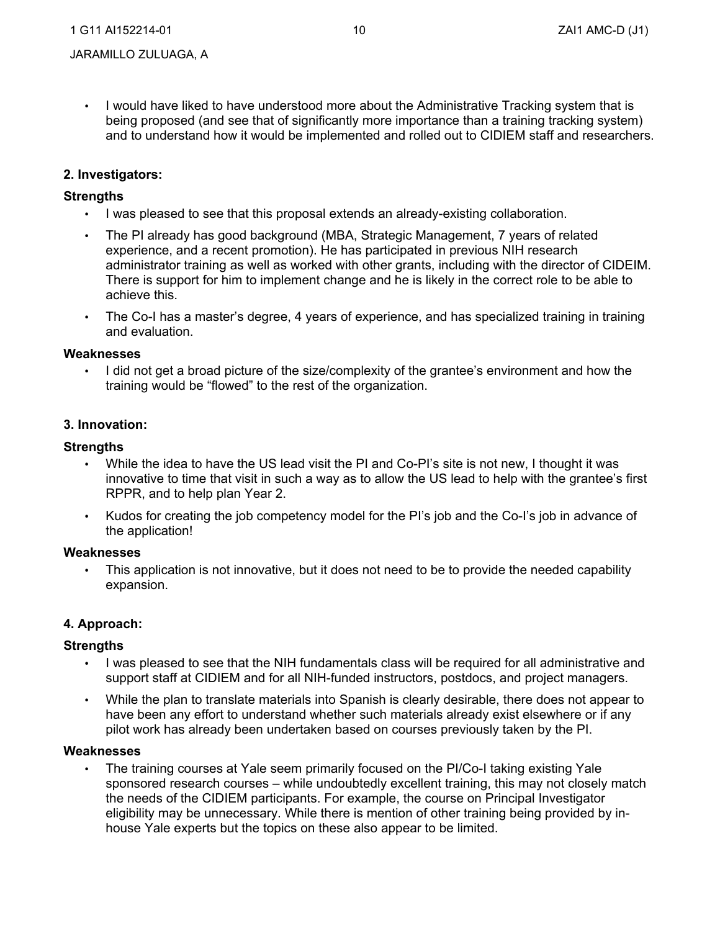• I would have liked to have understood more about the Administrative Tracking system that is being proposed (and see that of significantly more importance than a training tracking system) and to understand how it would be implemented and rolled out to CIDIEM staff and researchers.

## **2. Investigators:**

## **Strengths**

- I was pleased to see that this proposal extends an already-existing collaboration.
- • The PI already has good background (MBA, Strategic Management, 7 years of related There is support for him to implement change and he is likely in the correct role to be able to experience, and a recent promotion). He has participated in previous NIH research administrator training as well as worked with other grants, including with the director of CIDEIM. achieve this.
- The Co-I has a master's degree, 4 years of experience, and has specialized training in training and evaluation.

#### **Weaknesses**

 • I did not get a broad picture of the size/complexity of the grantee's environment and how the training would be "flowed" to the rest of the organization.

#### **3. Innovation:**

#### **Strengths**

- • While the idea to have the US lead visit the PI and Co-PI's site is not new, I thought it was innovative to time that visit in such a way as to allow the US lead to help with the grantee's first RPPR, and to help plan Year 2.
- • Kudos for creating the job competency model for the PI's job and the Co-I's job in advance of the application!

#### **Weaknesses**

• This application is not innovative, but it does not need to be to provide the needed capability expansion.

#### **4. Approach:**

#### **Strengths**

- I was pleased to see that the NIH fundamentals class will be required for all administrative and support staff at CIDIEM and for all NIH-funded instructors, postdocs, and project managers.
- • While the plan to translate materials into Spanish is clearly desirable, there does not appear to have been any effort to understand whether such materials already exist elsewhere or if any pilot work has already been undertaken based on courses previously taken by the PI.

#### **Weaknesses**

 • The training courses at Yale seem primarily focused on the PI/Co-I taking existing Yale sponsored research courses – while undoubtedly excellent training, this may not closely match the needs of the CIDIEM participants. For example, the course on Principal Investigator eligibility may be unnecessary. While there is mention of other training being provided by inhouse Yale experts but the topics on these also appear to be limited.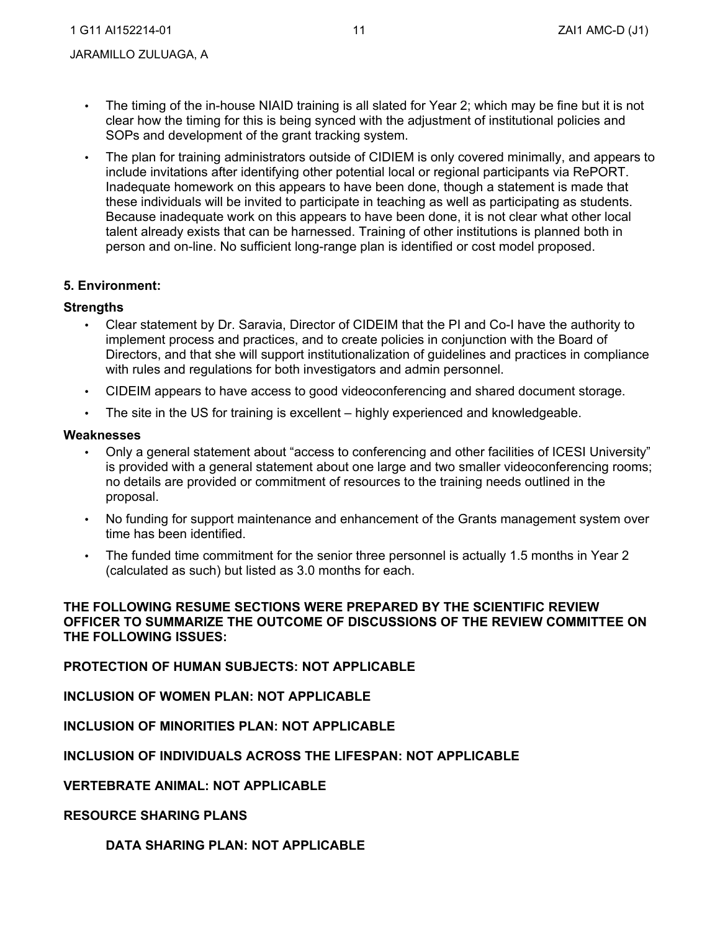JARAMILLO ZULUAGA, A

- • The timing of the in-house NIAID training is all slated for Year 2; which may be fine but it is not clear how the timing for this is being synced with the adjustment of institutional policies and SOPs and development of the grant tracking system.
- • The plan for training administrators outside of CIDIEM is only covered minimally, and appears to include invitations after identifying other potential local or regional participants via RePORT. Inadequate homework on this appears to have been done, though a statement is made that these individuals will be invited to participate in teaching as well as participating as students. Because inadequate work on this appears to have been done, it is not clear what other local talent already exists that can be harnessed. Training of other institutions is planned both in person and on-line. No sufficient long-range plan is identified or cost model proposed.

## **5. Environment:**

## **Strengths**

- • Clear statement by Dr. Saravia, Director of CIDEIM that the PI and Co-I have the authority to implement process and practices, and to create policies in conjunction with the Board of with rules and regulations for both investigators and admin personnel. Directors, and that she will support institutionalization of guidelines and practices in compliance
- CIDEIM appears to have access to good videoconferencing and shared document storage.
- The site in the US for training is excellent highly experienced and knowledgeable.

#### **Weaknesses**

- is provided with a general statement about one large and two smaller videoconferencing rooms; • Only a general statement about "access to conferencing and other facilities of ICESI University" no details are provided or commitment of resources to the training needs outlined in the proposal.
- • No funding for support maintenance and enhancement of the Grants management system over time has been identified.
- • The funded time commitment for the senior three personnel is actually 1.5 months in Year 2 (calculated as such) but listed as 3.0 months for each.

## **THE FOLLOWING RESUME SECTIONS WERE PREPARED BY THE SCIENTIFIC REVIEW OFFICER TO SUMMARIZE THE OUTCOME OF DISCUSSIONS OF THE REVIEW COMMITTEE ON THE FOLLOWING ISSUES:**

## **PROTECTION OF HUMAN SUBJECTS: NOT APPLICABLE**

**INCLUSION OF WOMEN PLAN: NOT APPLICABLE** 

**INCLUSION OF MINORITIES PLAN: NOT APPLICABLE** 

## **INCLUSION OF INDIVIDUALS ACROSS THE LIFESPAN: NOT APPLICABLE**

 **VERTEBRATE ANIMAL: NOT APPLICABLE** 

#### **RESOURCE SHARING PLANS**

## **DATA SHARING PLAN: NOT APPLICABLE**